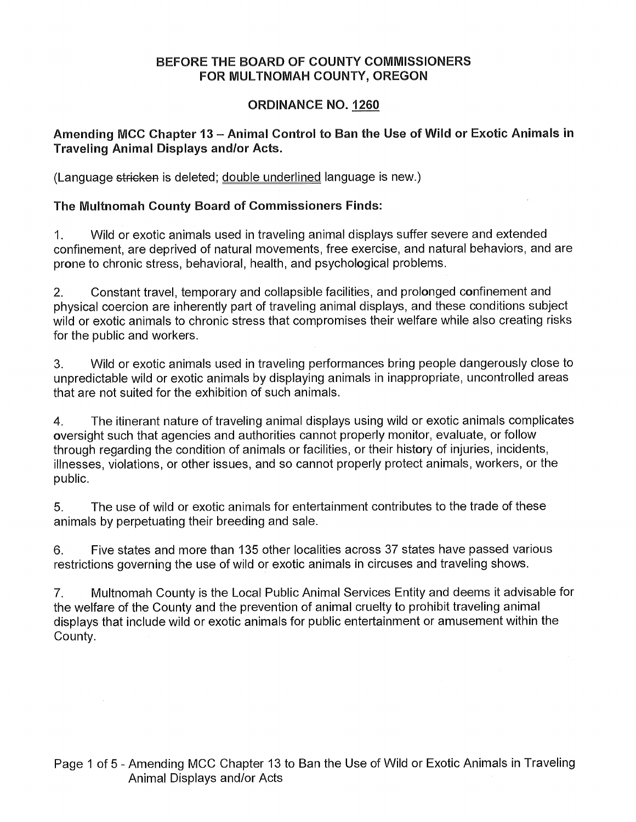## **BEFORE THE BOARD OF COUNTY COMMISSIONERS FOR MULTNOMAH COUNTY, OREGON**

# **ORDINANCE NO. 1260**

# **Amending MCC Chapter 13 — Animal Control to Ban the Use of Wild or Exotic Animals in Traveling Animal Displays and/or Acts.**

(Language stricken is deleted; double underlined language is new.)

# **The Multnomah County Board of Commissioners Finds:**

1. Wild or exotic animals used in traveling animal displays suffer severe and extended confinement, are deprived of natural movements, free exercise, and natural behaviors, and are prone to chronic stress, behavioral, health, and psychological problems.

2. Constant travel, temporary and collapsible facilities, and prolonged confinement and physical coercion are inherently part of traveling animal displays, and these conditions subject wild or exotic animals to chronic stress that compromises their welfare while also creating risks for the public and workers.

3. Wild or exotic animals used in traveling performances bring people dangerously close to unpredictable wild or exotic animals by displaying animals in inappropriate, uncontrolled areas that are not suited for the exhibition of such animals.

4. The itinerant nature of traveling animal displays using wild or exotic animals complicates oversight such that agencies and authorities cannot properly monitor, evaluate, or follow through regarding the condition of animals or facilities, or their history of injuries, incidents, illnesses, violations, or other issues, and so cannot properly protect animals, workers, or the public.

5. The use of wild or exotic animals for entertainment contributes to the trade of these animals by perpetuating their breeding and sale.

6. Five states and more than 135 other localities across 37 states have passed various restrictions governing the use of wild or exotic animals in circuses and traveling shows.

7. Multnomah County is the Local Public Animal Services Entity and deems it advisable for the welfare of the County and the prevention of animal cruelty to prohibit traveling animal displays that include wild or exotic animals for public entertainment or amusement within the County.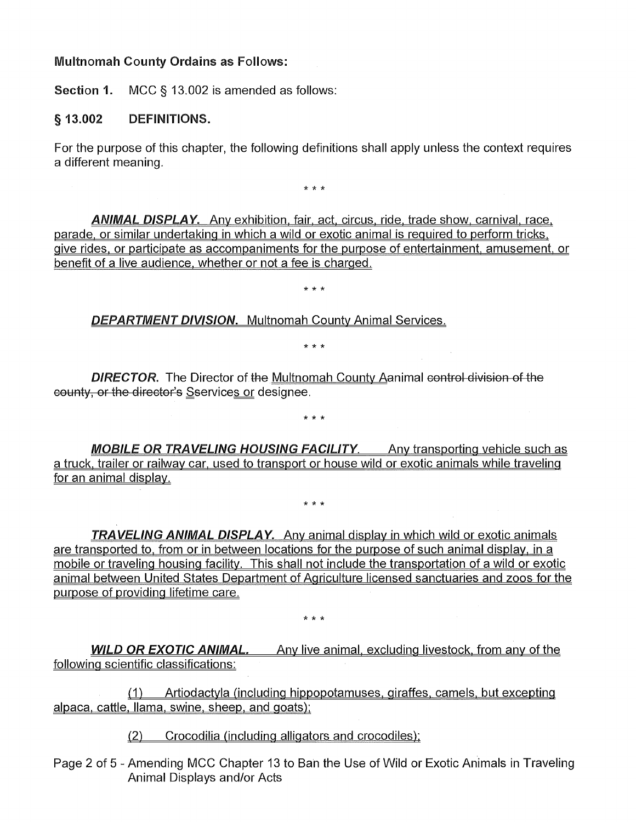### **Multnomah County Ordains as Follows:**

**Section 1.** MCC § 13.002 is amended as follows:

### **§ 13.002 DEFINITIONS.**

For the purpose of this chapter, the following definitions shall apply unless the context requires a different meaning.

\* \* \*

**ANIMAL DISPLAY.** Any exhibition, fair, act, circus, ride, trade show, carnival, race, parade, or similar undertaking in which a wild or exotic animal is required to perform tricks give rides, or participate as accompaniments for the purpose of entertainment, amusement, or benefit of a live audience, whether or not a fee is charged.

\* \* \*

### **DEPARTMENT DIVISION.** Multnomah County Animal Services.

 $* * *$ 

**DIRECTOR.** The Director of the Multnomah County Aanimal control division of the county, or the director's Sservices or designee.

**MOBILE OR TRAVELING HOUSING FACILITY.** Any transporting vehicle such as a truck, trailer or railway car, used to transport or house wild or exotic animals while traveling for an animal display.

\* \* \*

\* \* \*

**TRAVELING ANIMAL DISPLAY.** Any animal display in which wild or exotic animals are transported to, from or in between locations for the purpose of such animal display, in a mobile or traveling housing facility. This shall not include the transportation of a wild or exotic animal between United States Department of Agriculture licensed sanctuaries and zoos for the purpose of providing lifetime care.

\* \* \*

**WILD OR EXOTIC ANIMAL.** Any live animal, excluding livestock, from any of the following scientific classifications:

(1) Artiodactyla (including hippopotamuses, giraffes, camels, but excepting alpaca, cattle, llama, swine, sheep, and goats);

(2) Crocodilia (including alligators and crocodiles):

Page 2 of 5 - Amending MCC Chapter 13 to Ban the Use of Wild or Exotic Animals in Traveling Animal Displays and/or Acts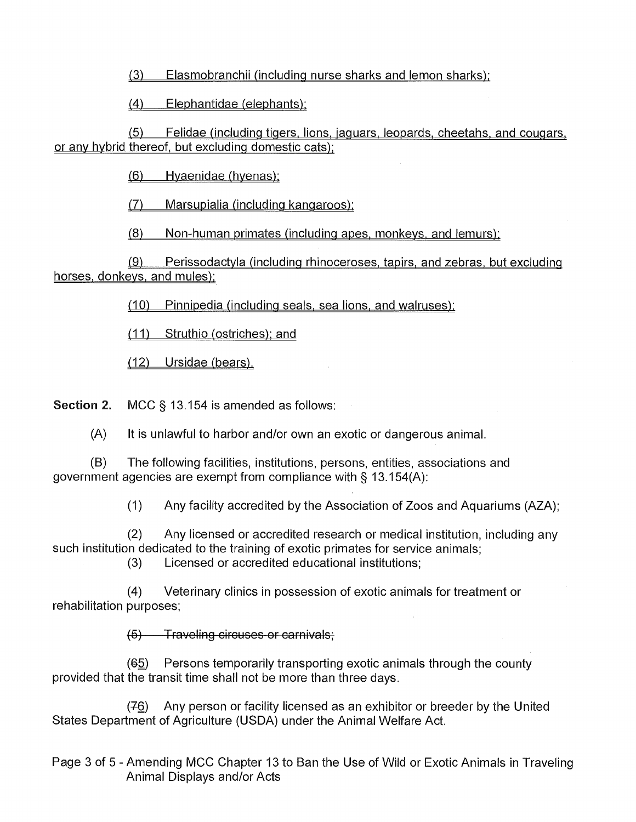(3) Elasmobranchii (including nurse sharks and lemon sharks);

(4) Elephantidae (elephants).

(5) Felidae (including tigers, lions, jaguars, leopards, cheetahs, and cougars, or any hybrid thereof, but excluding domestic cats);

(6) Hyaenidae (hyenas):

(7) Marsupialia (including kangaroos);

(8) Non-human primates (including apes, monkeys, and lemurs);

(9) Perissodactyla (including rhinoceroses, tapirs, and zebras, but excluding horses, donkeys, and mules);

(10) Pinnipedia (including seals, sea lions, and walruses);

(11) Struthio (ostriches): and

(12) Ursidae (bears).

**Section 2.** MCC § 13.154 is amended as follows:

(A) It is unlawful to harbor and/or own an exotic or dangerous animal.

(B) The following facilities, institutions, persons, entities, associations and government agencies are exempt from compliance with § 13.154(A):

(1) Any facility accredited by the Association of Zoos and Aquariums (AZA);

(2) Any licensed or accredited research or medical institution, including any such institution dedicated to the training of exotic primates for service animals;

(3) Licensed or accredited educational institutions;

(4) Veterinary clinics in possession of exotic animals for treatment or rehabilitation purposes;

(5) Traveling circuses or carnivals;

 $(65)$  Persons temporarily transporting exotic animals through the county provided that the transit time shall not be more than three days.

(76) Any person or facility licensed as an exhibitor or breeder by the United States Department of Agriculture (USDA) under the Animal Welfare Act.

Page 3 of 5 - Amending MCC Chapter 13 to Ban the Use of Wild or Exotic Animals in Traveling Animal Displays and/or Acts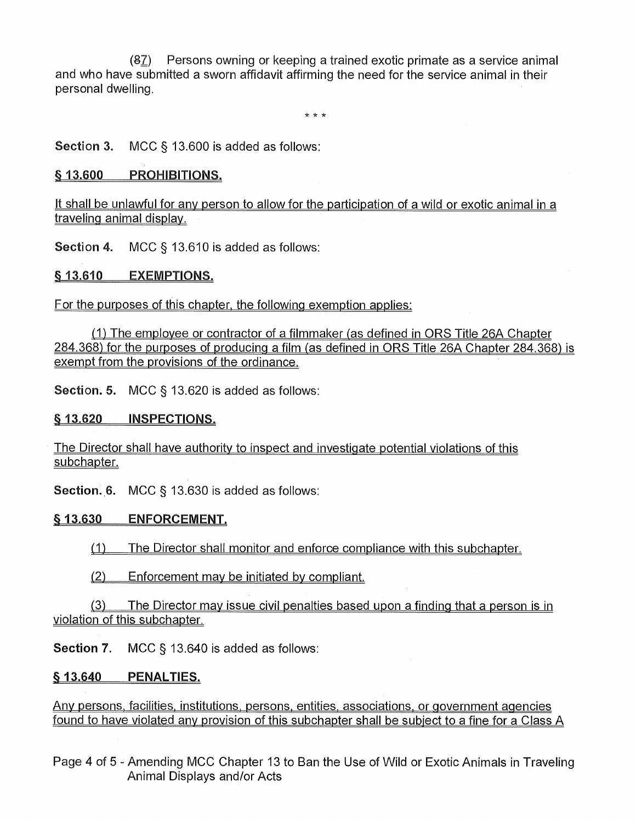$(87)$  Persons owning or keeping a trained exotic primate as a service animal and who have submitted a sworn affidavit affirming the need for the service animal in their personal dwelling.

\* \* \*

**Section 3.** MCC § 13.600 is added as follows:

### **§ 13.600 PROHIBITIONS.**

It shall be unlawful for any person to allow for the participation of a wild or exotic animal in a traveling animal display.

**Section 4.** MCC § 13.610 is added as follows:

**§ 13.610 EXEMPTIONS.** 

For the purposes of this chapter, the following exemption applies:

 $(1)$  The employee or contractor of a filmmaker (as defined in ORS Title 26A Chapter 284.368) for the purposes of producing a film (as defined in ORS Title 26A Chapter 284.368) is exempt from the provisions of the ordinance.

**Section. 5.** MCC § 13.620 is added as follows:

#### **§ 13.620 INSPECTIONS.**

The Director shall have authority to inspect and investigate potential violations of this subchapter.

**Section. 6.** MCC § 13.630 is added as follows:

#### **§ 13.630 ENFORCEMENT.**

(1) The Director shall monitor and enforce compliance with this subchapter.

(2) Enforcement may be initiated by compliant.

(3) The Director may issue civil penalties based upon a finding that a person is in violation of this subchapter.

**Section 7.** MCC § 13.640 is added as follows:

### **§ 13.640 PENALTIES.**

Any persons, facilities, institutions, persons, entities, associations, or government agencies found to have violated any provision of this subchapter shall be subject to a fine for a Class A

Page 4 of 5 - Amending MCC Chapter 13 to Ban the Use of Wild or Exotic Animals in Traveling Animal Displays and/or Acts